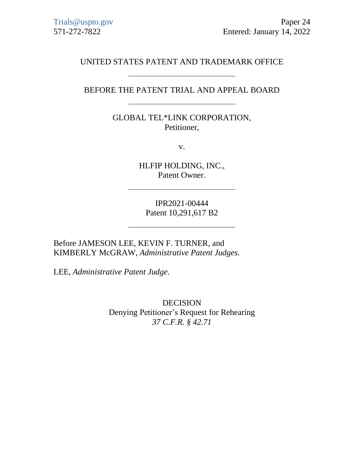# UNITED STATES PATENT AND TRADEMARK OFFICE

# BEFORE THE PATENT TRIAL AND APPEAL BOARD

GLOBAL TEL\*LINK CORPORATION, Petitioner,

v.

HLFIP HOLDING, INC., Patent Owner.

IPR2021-00444 Patent 10,291,617 B2

Before JAMESON LEE, KEVIN F. TURNER, and KIMBERLY McGRAW, *Administrative Patent Judges.*

LEE, *Administrative Patent Judge*.

DECISION Denying Petitioner's Request for Rehearing *37 C.F.R. § 42.71*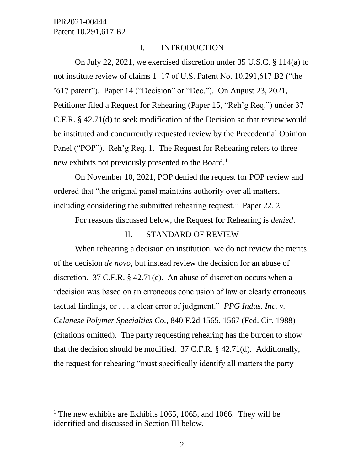$\overline{a}$ 

#### I. INTRODUCTION

On July 22, 2021, we exercised discretion under 35 U.S.C. § 114(a) to not institute review of claims 1–17 of U.S. Patent No. 10,291,617 B2 ("the '617 patent"). Paper 14 ("Decision" or "Dec."). On August 23, 2021, Petitioner filed a Request for Rehearing (Paper 15, "Reh'g Req.") under 37 C.F.R. § 42.71(d) to seek modification of the Decision so that review would be instituted and concurrently requested review by the Precedential Opinion Panel ("POP"). Reh'g Req. 1. The Request for Rehearing refers to three new exhibits not previously presented to the Board.<sup>1</sup>

On November 10, 2021, POP denied the request for POP review and ordered that "the original panel maintains authority over all matters, including considering the submitted rehearing request." Paper 22, 2.

For reasons discussed below, the Request for Rehearing is *denied*.

### II. STANDARD OF REVIEW

When rehearing a decision on institution, we do not review the merits of the decision *de novo*, but instead review the decision for an abuse of discretion. 37 C.F.R. § 42.71(c). An abuse of discretion occurs when a "decision was based on an erroneous conclusion of law or clearly erroneous factual findings, or . . . a clear error of judgment." *PPG Indus. Inc. v. Celanese Polymer Specialties Co.*, 840 F.2d 1565, 1567 (Fed. Cir. 1988) (citations omitted). The party requesting rehearing has the burden to show that the decision should be modified. 37 C.F.R. § 42.71(d). Additionally, the request for rehearing "must specifically identify all matters the party

<sup>&</sup>lt;sup>1</sup> The new exhibits are Exhibits 1065, 1065, and 1066. They will be identified and discussed in Section III below.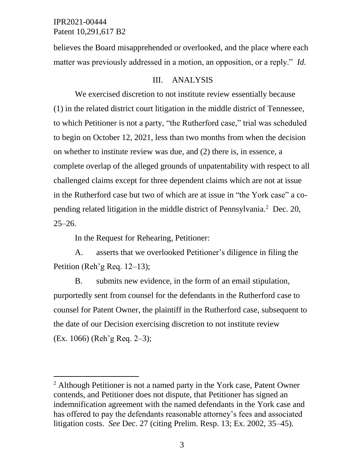$\overline{a}$ 

believes the Board misapprehended or overlooked, and the place where each matter was previously addressed in a motion, an opposition, or a reply." *Id.*

## III. ANALYSIS

We exercised discretion to not institute review essentially because (1) in the related district court litigation in the middle district of Tennessee, to which Petitioner is not a party, "the Rutherford case," trial was scheduled to begin on October 12, 2021, less than two months from when the decision on whether to institute review was due, and (2) there is, in essence, a complete overlap of the alleged grounds of unpatentability with respect to all challenged claims except for three dependent claims which are not at issue in the Rutherford case but two of which are at issue in "the York case" a copending related litigation in the middle district of Pennsylvania.<sup>2</sup> Dec. 20,  $25 - 26.$ 

In the Request for Rehearing, Petitioner:

A. asserts that we overlooked Petitioner's diligence in filing the Petition (Reh'g Req. 12–13);

B. submits new evidence, in the form of an email stipulation, purportedly sent from counsel for the defendants in the Rutherford case to counsel for Patent Owner, the plaintiff in the Rutherford case, subsequent to the date of our Decision exercising discretion to not institute review (Ex. 1066) (Reh'g Req. 2–3);

<sup>&</sup>lt;sup>2</sup> Although Petitioner is not a named party in the York case, Patent Owner contends, and Petitioner does not dispute, that Petitioner has signed an indemnification agreement with the named defendants in the York case and has offered to pay the defendants reasonable attorney's fees and associated litigation costs. *See* Dec. 27 (citing Prelim. Resp. 13; Ex. 2002, 35–45).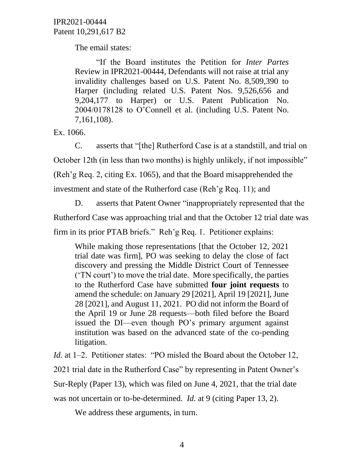The email states:

"If the Board institutes the Petition for *Inter Partes* Review in IPR2021-00444, Defendants will not raise at trial any invalidity challenges based on U.S. Patent No. 8,509,390 to Harper (including related U.S. Patent Nos. 9,526,656 and 9,204,177 to Harper) or U.S. Patent Publication No. 2004/0178128 to O'Connell et al. (including U.S. Patent No. 7,161,108).

Ex. 1066.

C. asserts that "[the] Rutherford Case is at a standstill, and trial on October 12th (in less than two months) is highly unlikely, if not impossible" (Reh'g Req. 2, citing Ex. 1065), and that the Board misapprehended the investment and state of the Rutherford case (Reh'g Req. 11); and

D. asserts that Patent Owner "inappropriately represented that the Rutherford Case was approaching trial and that the October 12 trial date was firm in its prior PTAB briefs." Reh'g Req. 1. Petitioner explains:

While making those representations [that the October 12, 2021] trial date was firm], PO was seeking to delay the close of fact discovery and pressing the Middle District Court of Tennessee ('TN court') to move the trial date. More specifically, the parties to the Rutherford Case have submitted **four joint requests** to amend the schedule: on January 29 [2021], April 19 [2021], June 28 [2021], and August 11, 2021. PO did not inform the Board of the April 19 or June 28 requests—both filed before the Board issued the DI—even though PO's primary argument against institution was based on the advanced state of the co-pending litigation.

*Id.* at 1–2. Petitioner states: "PO misled the Board about the October 12, 2021 trial date in the Rutherford Case" by representing in Patent Owner's Sur-Reply (Paper 13), which was filed on June 4, 2021, that the trial date was not uncertain or to-be-determined. *Id.* at 9 (citing Paper 13, 2).

We address these arguments, in turn.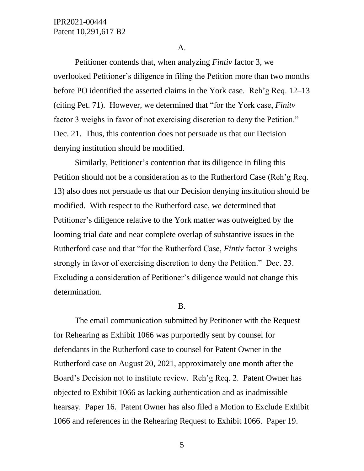#### A.

Petitioner contends that, when analyzing *Fintiv* factor 3, we overlooked Petitioner's diligence in filing the Petition more than two months before PO identified the asserted claims in the York case. Reh'g Req. 12–13 (citing Pet. 71). However, we determined that "for the York case, *Finitv*  factor 3 weighs in favor of not exercising discretion to deny the Petition." Dec. 21. Thus, this contention does not persuade us that our Decision denying institution should be modified.

Similarly, Petitioner's contention that its diligence in filing this Petition should not be a consideration as to the Rutherford Case (Reh'g Req. 13) also does not persuade us that our Decision denying institution should be modified. With respect to the Rutherford case, we determined that Petitioner's diligence relative to the York matter was outweighed by the looming trial date and near complete overlap of substantive issues in the Rutherford case and that "for the Rutherford Case, *Fintiv* factor 3 weighs strongly in favor of exercising discretion to deny the Petition." Dec. 23. Excluding a consideration of Petitioner's diligence would not change this determination.

#### B.

The email communication submitted by Petitioner with the Request for Rehearing as Exhibit 1066 was purportedly sent by counsel for defendants in the Rutherford case to counsel for Patent Owner in the Rutherford case on August 20, 2021, approximately one month after the Board's Decision not to institute review. Reh'g Req. 2. Patent Owner has objected to Exhibit 1066 as lacking authentication and as inadmissible hearsay. Paper 16. Patent Owner has also filed a Motion to Exclude Exhibit 1066 and references in the Rehearing Request to Exhibit 1066. Paper 19.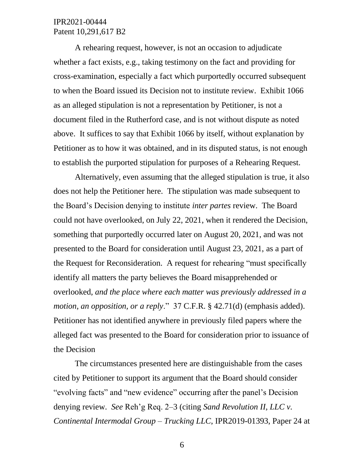A rehearing request, however, is not an occasion to adjudicate whether a fact exists, e.g., taking testimony on the fact and providing for cross-examination, especially a fact which purportedly occurred subsequent to when the Board issued its Decision not to institute review. Exhibit 1066 as an alleged stipulation is not a representation by Petitioner, is not a document filed in the Rutherford case, and is not without dispute as noted above. It suffices to say that Exhibit 1066 by itself, without explanation by Petitioner as to how it was obtained, and in its disputed status, is not enough to establish the purported stipulation for purposes of a Rehearing Request.

Alternatively, even assuming that the alleged stipulation is true, it also does not help the Petitioner here. The stipulation was made subsequent to the Board's Decision denying to institute *inter partes* review. The Board could not have overlooked, on July 22, 2021, when it rendered the Decision, something that purportedly occurred later on August 20, 2021, and was not presented to the Board for consideration until August 23, 2021, as a part of the Request for Reconsideration. A request for rehearing "must specifically identify all matters the party believes the Board misapprehended or overlooked, *and the place where each matter was previously addressed in a motion, an opposition, or a reply*." 37 C.F.R. § 42.71(d) (emphasis added). Petitioner has not identified anywhere in previously filed papers where the alleged fact was presented to the Board for consideration prior to issuance of the Decision

The circumstances presented here are distinguishable from the cases cited by Petitioner to support its argument that the Board should consider "evolving facts" and "new evidence" occurring after the panel's Decision denying review. *See* Reh'g Req. 2–3 (citing *Sand Revolution II, LLC v. Continental Intermodal Group – Trucking LLC*, IPR2019-01393, Paper 24 at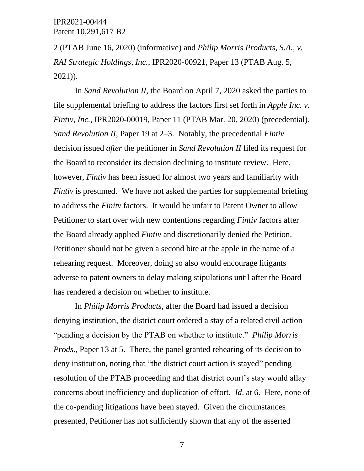2 (PTAB June 16, 2020) (informative) and *Philip Morris Products, S.A., v. RAI Strategic Holdings, Inc.*, IPR2020-00921, Paper 13 (PTAB Aug. 5, 2021)).

In *Sand Revolution II*, the Board on April 7, 2020 asked the parties to file supplemental briefing to address the factors first set forth in *Apple Inc. v. Fintiv, Inc.*, IPR2020-00019, Paper 11 (PTAB Mar. 20, 2020) (precedential). *Sand Revolution II*, Paper 19 at 2–3. Notably, the precedential *Fintiv* decision issued *after* the petitioner in *Sand Revolution II* filed its request for the Board to reconsider its decision declining to institute review. Here, however, *Fintiv* has been issued for almost two years and familiarity with *Fintiv* is presumed. We have not asked the parties for supplemental briefing to address the *Finitv* factors. It would be unfair to Patent Owner to allow Petitioner to start over with new contentions regarding *Fintiv* factors after the Board already applied *Fintiv* and discretionarily denied the Petition. Petitioner should not be given a second bite at the apple in the name of a rehearing request. Moreover, doing so also would encourage litigants adverse to patent owners to delay making stipulations until after the Board has rendered a decision on whether to institute.

In *Philip Morris Products*, after the Board had issued a decision denying institution, the district court ordered a stay of a related civil action "pending a decision by the PTAB on whether to institute." *Philip Morris Prods.*, Paper 13 at 5. There, the panel granted rehearing of its decision to deny institution, noting that "the district court action is stayed" pending resolution of the PTAB proceeding and that district court's stay would allay concerns about inefficiency and duplication of effort. *Id*. at 6. Here, none of the co-pending litigations have been stayed. Given the circumstances presented, Petitioner has not sufficiently shown that any of the asserted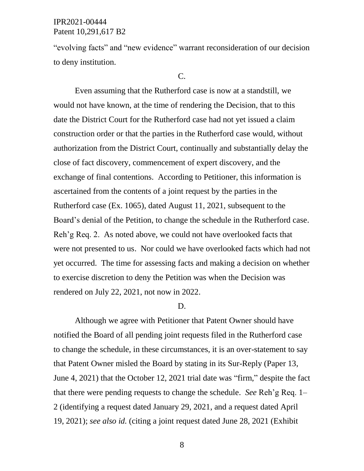"evolving facts" and "new evidence" warrant reconsideration of our decision to deny institution.

#### C.

Even assuming that the Rutherford case is now at a standstill, we would not have known, at the time of rendering the Decision, that to this date the District Court for the Rutherford case had not yet issued a claim construction order or that the parties in the Rutherford case would, without authorization from the District Court, continually and substantially delay the close of fact discovery, commencement of expert discovery, and the exchange of final contentions. According to Petitioner, this information is ascertained from the contents of a joint request by the parties in the Rutherford case (Ex. 1065), dated August 11, 2021, subsequent to the Board's denial of the Petition, to change the schedule in the Rutherford case. Reh'g Req. 2. As noted above, we could not have overlooked facts that were not presented to us. Nor could we have overlooked facts which had not yet occurred. The time for assessing facts and making a decision on whether to exercise discretion to deny the Petition was when the Decision was rendered on July 22, 2021, not now in 2022.

#### D.

Although we agree with Petitioner that Patent Owner should have notified the Board of all pending joint requests filed in the Rutherford case to change the schedule, in these circumstances, it is an over-statement to say that Patent Owner misled the Board by stating in its Sur-Reply (Paper 13, June 4, 2021) that the October 12, 2021 trial date was "firm," despite the fact that there were pending requests to change the schedule. *See* Reh'g Req. 1– 2 (identifying a request dated January 29, 2021, and a request dated April 19, 2021); *see also id.* (citing a joint request dated June 28, 2021 (Exhibit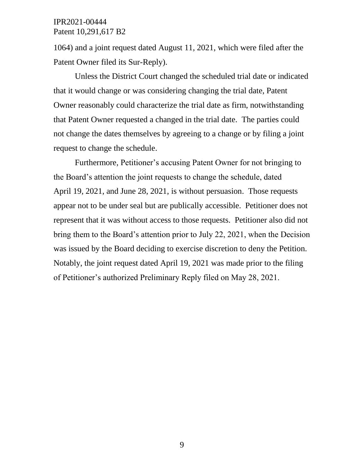1064) and a joint request dated August 11, 2021, which were filed after the Patent Owner filed its Sur-Reply).

Unless the District Court changed the scheduled trial date or indicated that it would change or was considering changing the trial date, Patent Owner reasonably could characterize the trial date as firm, notwithstanding that Patent Owner requested a changed in the trial date. The parties could not change the dates themselves by agreeing to a change or by filing a joint request to change the schedule.

Furthermore, Petitioner's accusing Patent Owner for not bringing to the Board's attention the joint requests to change the schedule, dated April 19, 2021, and June 28, 2021, is without persuasion. Those requests appear not to be under seal but are publically accessible. Petitioner does not represent that it was without access to those requests. Petitioner also did not bring them to the Board's attention prior to July 22, 2021, when the Decision was issued by the Board deciding to exercise discretion to deny the Petition. Notably, the joint request dated April 19, 2021 was made prior to the filing of Petitioner's authorized Preliminary Reply filed on May 28, 2021.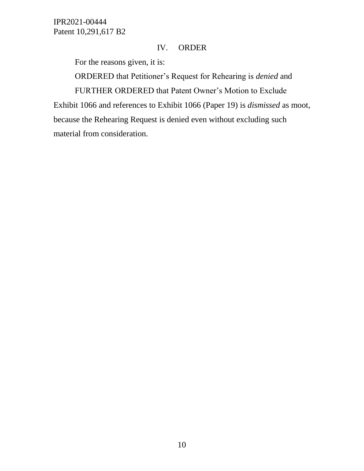# IV. ORDER

For the reasons given, it is:

ORDERED that Petitioner's Request for Rehearing is *denied* and FURTHER ORDERED that Patent Owner's Motion to Exclude

Exhibit 1066 and references to Exhibit 1066 (Paper 19) is *dismissed* as moot, because the Rehearing Request is denied even without excluding such material from consideration.